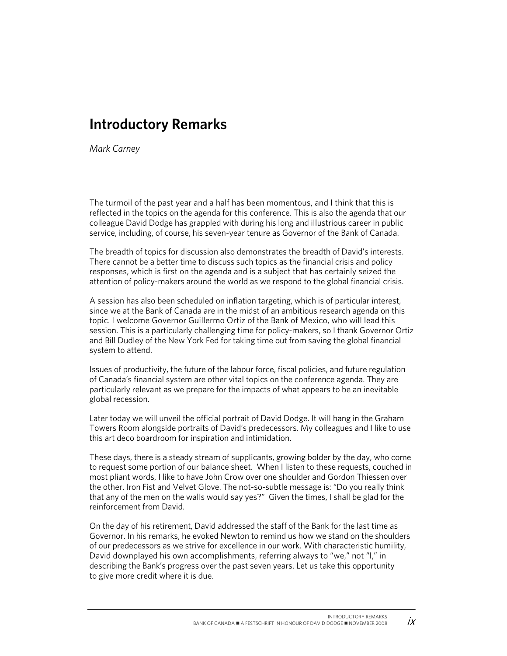## **Introductory Remarks**

*Mark Carney*

The turmoil of the past year and a half has been momentous, and I think that this is reflected in the topics on the agenda for this conference. This is also the agenda that our colleague David Dodge has grappled with during his long and illustrious career in public service, including, of course, his seven-year tenure as Governor of the Bank of Canada.

The breadth of topics for discussion also demonstrates the breadth of David's interests. There cannot be a better time to discuss such topics as the financial crisis and policy responses, which is first on the agenda and is a subject that has certainly seized the attention of policy-makers around the world as we respond to the global financial crisis.

A session has also been scheduled on inflation targeting, which is of particular interest, since we at the Bank of Canada are in the midst of an ambitious research agenda on this topic. I welcome Governor Guillermo Ortiz of the Bank of Mexico, who will lead this session. This is a particularly challenging time for policy-makers, so I thank Governor Ortiz and Bill Dudley of the New York Fed for taking time out from saving the global financial system to attend.

Issues of productivity, the future of the labour force, fiscal policies, and future regulation of Canada's financial system are other vital topics on the conference agenda. They are particularly relevant as we prepare for the impacts of what appears to be an inevitable global recession.

Later today we will unveil the official portrait of David Dodge. It will hang in the Graham Towers Room alongside portraits of David's predecessors. My colleagues and I like to use this art deco boardroom for inspiration and intimidation.

These days, there is a steady stream of supplicants, growing bolder by the day, who come to request some portion of our balance sheet. When I listen to these requests, couched in most pliant words, I like to have John Crow over one shoulder and Gordon Thiessen over the other. Iron Fist and Velvet Glove. The not-so-subtle message is: "Do you really think that any of the men on the walls would say yes?" Given the times, I shall be glad for the reinforcement from David.

On the day of his retirement, David addressed the staff of the Bank for the last time as Governor. In his remarks, he evoked Newton to remind us how we stand on the shoulders of our predecessors as we strive for excellence in our work. With characteristic humility, David downplayed his own accomplishments, referring always to "we," not "I," in describing the Bank's progress over the past seven years. Let us take this opportunity to give more credit where it is due.